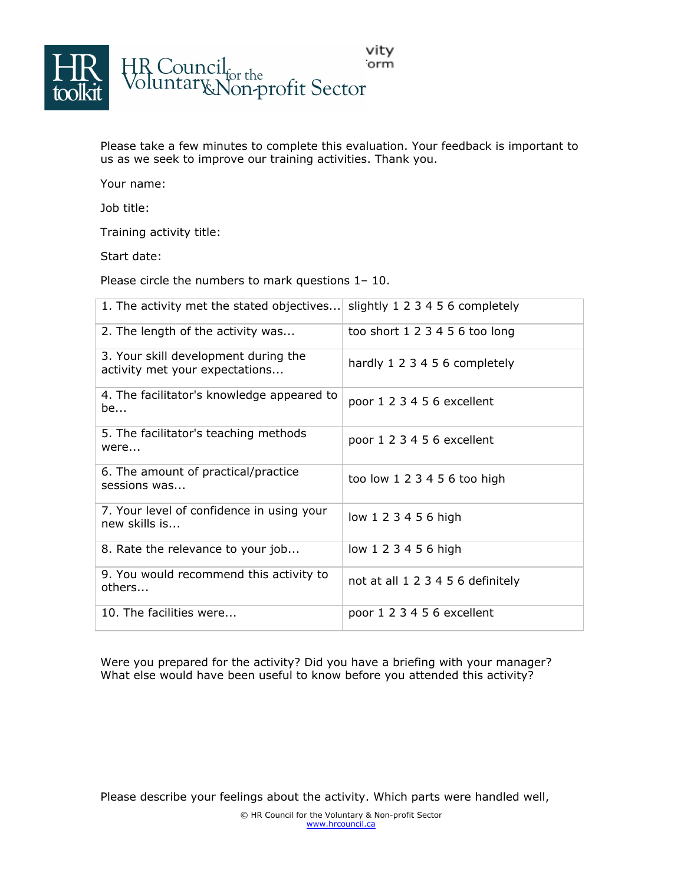

Please take a few minutes to complete this evaluation. Your feedback is important to us as we seek to improve our training activities. Thank you.

Your name:

Job title:

Training activity title:

Start date:

Please circle the numbers to mark questions 1– 10.

| 1. The activity met the stated objectives                              | slightly 1 2 3 4 5 6 completely   |
|------------------------------------------------------------------------|-----------------------------------|
| 2. The length of the activity was                                      | too short $123456$ too long       |
| 3. Your skill development during the<br>activity met your expectations | hardly 1 2 3 4 5 6 completely     |
| 4. The facilitator's knowledge appeared to<br>be                       | poor 1 2 3 4 5 6 excellent        |
| 5. The facilitator's teaching methods<br>were                          | poor 1 2 3 4 5 6 excellent        |
| 6. The amount of practical/practice<br>sessions was                    | too low 1 2 3 4 5 6 too high      |
| 7. Your level of confidence in using your<br>new skills is             | low 1 2 3 4 5 6 high              |
| 8. Rate the relevance to your job                                      | low 1 2 3 4 5 6 high              |
| 9. You would recommend this activity to<br>others                      | not at all 1 2 3 4 5 6 definitely |
| 10. The facilities were                                                | poor 1 2 3 4 5 6 excellent        |

Were you prepared for the activity? Did you have a briefing with your manager? What else would have been useful to know before you attended this activity?

Please describe your feelings about the activity. Which parts were handled well,